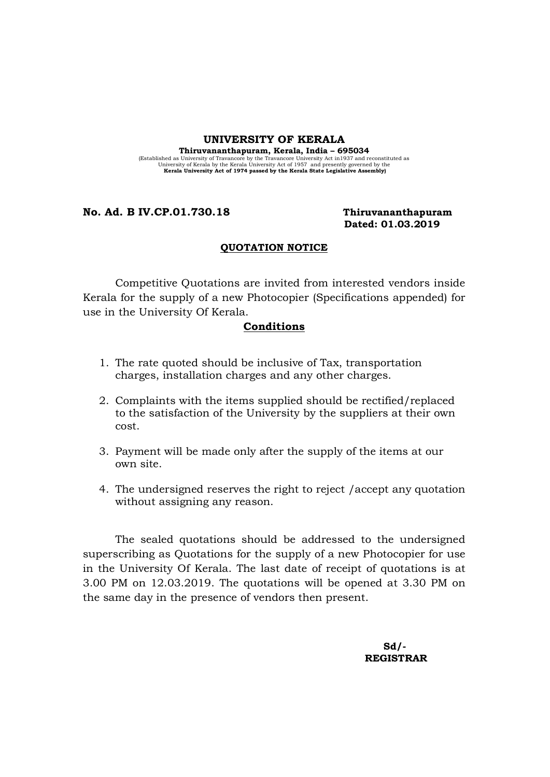#### UNIVERSITY OF KERALA

Thiruvananthapuram, Kerala, India – 695034 (Established as University of Travancore by the Travancore University Act in 1937 and reconstituted as University Act Scholar University Act of 1957 and presently governed by the Kerala University Act of 1974 passed by the

### No. Ad. B IV.CP.01.730.18 Thiruvananthapuram

# Dated: 01.03.2019

#### QUOTATION NOTICE

Competitive Quotations are invited from interested vendors inside Kerala for the supply of a new Photocopier (Specifications appended) for use in the University Of Kerala.

#### Conditions

- 1. The rate quoted should be inclusive of Tax, transportation charges, installation charges and any other charges.
- 2. Complaints with the items supplied should be rectified/replaced to the satisfaction of the University by the suppliers at their own cost.
- 3. Payment will be made only after the supply of the items at our own site.
- 4. The undersigned reserves the right to reject /accept any quotation without assigning any reason.

The sealed quotations should be addressed to the undersigned superscribing as Quotations for the supply of a new Photocopier for use in the University Of Kerala. The last date of receipt of quotations is at 3.00 PM on 12.03.2019. The quotations will be opened at 3.30 PM on the same day in the presence of vendors then present.

 $Sd/-\frac{1}{2}$ REGISTRAR